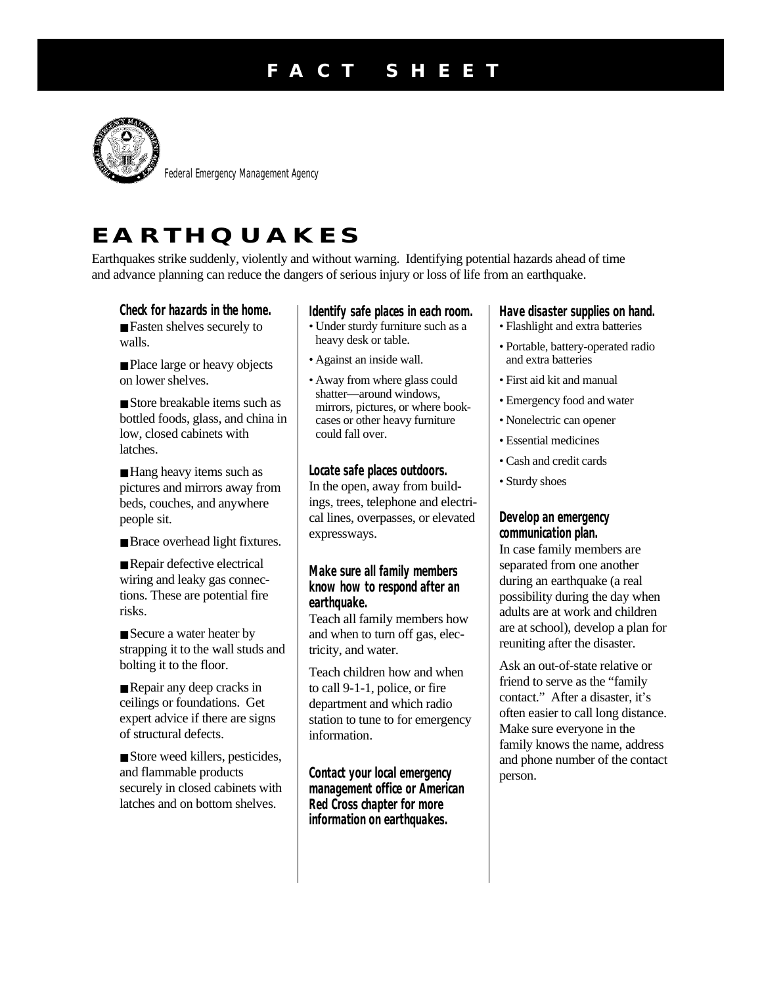## **F A C T S H E E T**



Federal Emergency Management Agency

# **E A R T H Q U A K E S**

Earthquakes strike suddenly, violently and without warning. Identifying potential hazards ahead of time and advance planning can reduce the dangers of serious injury or loss of life from an earthquake.

**Check for hazards in the home.** ■ Fasten shelves securely to walls.

■ Place large or heavy objects on lower shelves.

■ Store breakable items such as bottled foods, glass, and china in low, closed cabinets with **latches** 

■ Hang heavy items such as pictures and mirrors away from beds, couches, and anywhere people sit.

■ Brace overhead light fixtures.

■ Repair defective electrical wiring and leaky gas connections. These are potential fire risks.

■ Secure a water heater by strapping it to the wall studs and bolting it to the floor.

■ Repair any deep cracks in ceilings or foundations. Get expert advice if there are signs of structural defects.

■ Store weed killers, pesticides, and flammable products securely in closed cabinets with latches and on bottom shelves.

**Identify safe places in each room.** • Under sturdy furniture such as a heavy desk or table.

- Against an inside wall.
- Away from where glass could shatter—around windows, mirrors, pictures, or where bookcases or other heavy furniture could fall over.

**Locate safe places outdoors.** In the open, away from buildings, trees, telephone and electrical lines, overpasses, or elevated expressways.

**Make sure all family members know how to respond after an earthquake.** Teach all family members how

and when to turn off gas, electricity, and water.

Teach children how and when to call 9-1-1, police, or fire department and which radio station to tune to for emergency information.

**Contact your local emergency management office or American Red Cross chapter for more information on earthquakes.**

**Have disaster supplies on hand.** • Flashlight and extra batteries

- Portable, battery-operated radio and extra batteries
- First aid kit and manual
- Emergency food and water
- Nonelectric can opener
- Essential medicines
- Cash and credit cards
- Sturdy shoes

**Develop an emergency communication plan.** In case family members are separated from one another during an earthquake (a real possibility during the day when adults are at work and children are at school), develop a plan for reuniting after the disaster.

Ask an out-of-state relative or friend to serve as the "family contact." After a disaster, it's often easier to call long distance. Make sure everyone in the family knows the name, address and phone number of the contact person.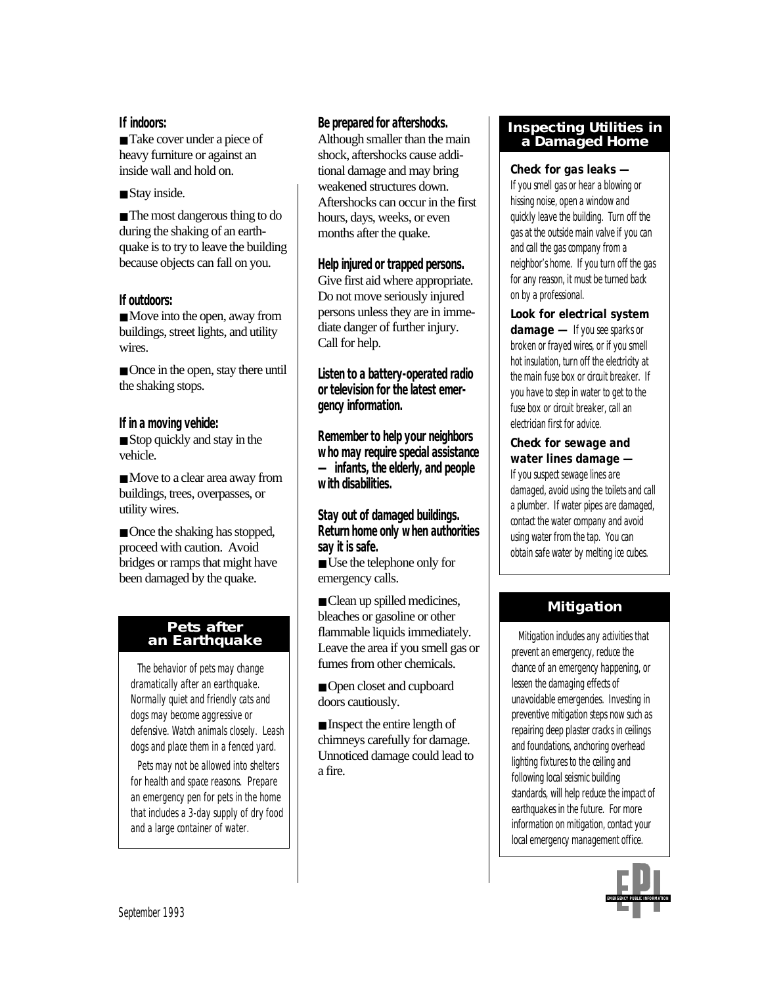## **If indoors:**

■ Take cover under a piece of heavy furniture or against an inside wall and hold on.

■ Stay inside.

■ The most dangerous thing to do during the shaking of an earthquake is to try to leave the building because objects can fall on you.

## **If outdoors:**

■ Move into the open, away from buildings, street lights, and utility wires.

■ Once in the open, stay there until the shaking stops.

**If in a moving vehicle:**

■ Stop quickly and stay in the vehicle.

■ Move to a clear area away from buildings, trees, overpasses, or utility wires.

■ Once the shaking has stopped, proceed with caution. Avoid bridges or ramps that might have been damaged by the quake.

## **Pets after an Earthquake**

The behavior of pets may change dramatically after an earthquake. Normally quiet and friendly cats and dogs may become aggressive or defensive. Watch animals closely. Leash dogs and place them in a fenced yard.

Pets may not be allowed into shelters for health and space reasons. Prepare an emergency pen for pets in the home that includes a 3-day supply of dry food and a large container of water.

**Be prepared for aftershocks.** Although smaller than the main shock, aftershocks cause additional damage and may bring weakened structures down. Aftershocks can occur in the first hours, days, weeks, or even months after the quake.

**Help injured or trapped persons.** Give first aid where appropriate. Do not move seriously injured persons unless they are in immediate danger of further injury. Call for help.

**Listen to a battery-operated radio or television for the latest emergency information.**

**Remember to help your neighbors who may require special assistance — infants, the elderly, and people with disabilities.**

**Stay out of damaged buildings. Return home only when authorities say it is safe.**

■ Use the telephone only for emergency calls.

■ Clean up spilled medicines, bleaches or gasoline or other flammable liquids immediately. Leave the area if you smell gas or fumes from other chemicals.

■ Open closet and cupboard doors cautiously.

■ Inspect the entire length of chimneys carefully for damage. Unnoticed damage could lead to a fire.

## **Inspecting Utilities in a Damaged Home**

**Check for gas leaks —** If you smell gas or hear a blowing or hissing noise, open a window and quickly leave the building. Turn off the gas at the outside main valve if you can and call the gas company from a neighbor's home. If you turn off the gas for any reason, it must be turned back on by a professional.

**Look for electrical system damage —** If you see sparks or broken or frayed wires, or if you smell hot insulation, turn off the electricity at the main fuse box or circuit breaker. If you have to step in water to get to the fuse box or circuit breaker, call an electrician first for advice.

**Check for sewage and water lines damage —** If you suspect sewage lines are damaged, avoid using the toilets and call a plumber. If water pipes are damaged, contact the water company and avoid using water from the tap. You can obtain safe water by melting ice cubes.

## **Mitigation**

Mitigation includes any activities that prevent an emergency, reduce the chance of an emergency happening, or lessen the damaging effects of unavoidable emergencies. Investing in preventive mitigation steps now such as repairing deep plaster cracks in ceilings and foundations, anchoring overhead lighting fixtures to the ceiling and following local seismic building standards, will help reduce the impact of earthquakes in the future. For more information on mitigation, contact your local emergency management office.

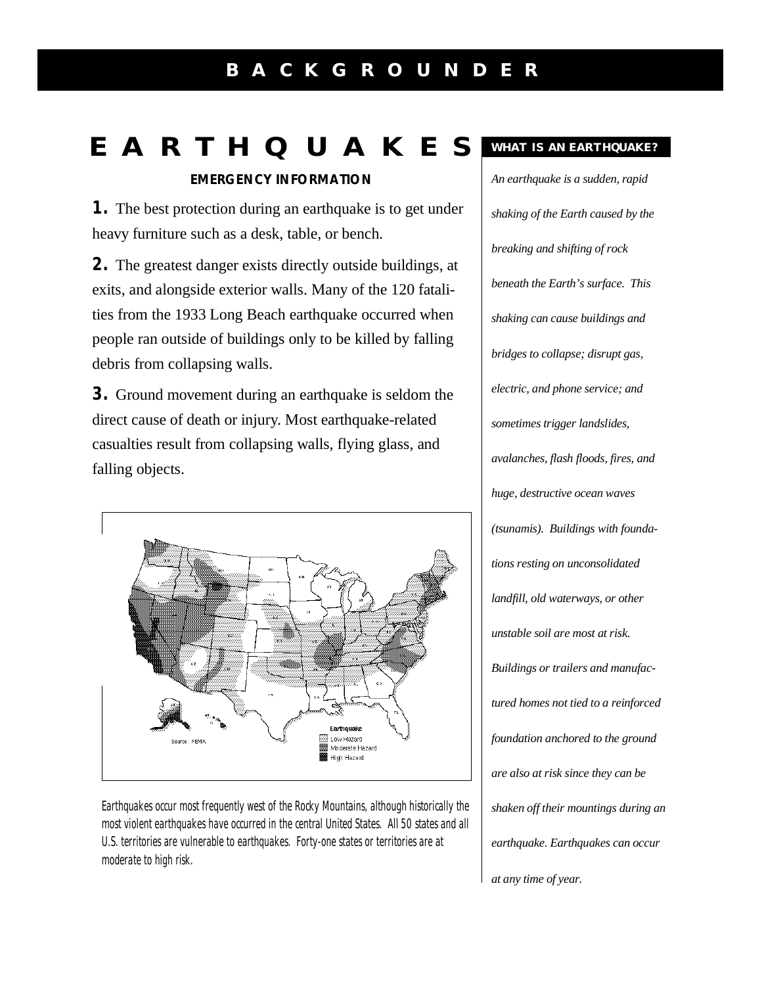# **E A R T H Q U A K E S**

**EMERGENCY INFORMATION** *An earthquake is a sudden, rapid*

**1.** The best protection during an earthquake is to get under heavy furniture such as a desk, table, or bench.

**2.** The greatest danger exists directly outside buildings, at exits, and alongside exterior walls. Many of the 120 fatalities from the 1933 Long Beach earthquake occurred when people ran outside of buildings only to be killed by falling debris from collapsing walls.

**3.** Ground movement during an earthquake is seldom the direct cause of death or injury. Most earthquake-related casualties result from collapsing walls, flying glass, and falling objects.



Earthquakes occur most frequently west of the Rocky Mountains, although historically the most violent earthquakes have occurred in the central United States. All 50 states and all U.S. territories are vulnerable to earthquakes. Forty-one states or territories are at moderate to high risk.

## **WHAT IS AN EARTHQUAKE?**

*shaking of the Earth caused by the breaking and shifting of rock beneath the Earth's surface. This shaking can cause buildings and bridges to collapse; disrupt gas, electric, and phone service; and sometimes trigger landslides, avalanches, flash floods, fires, and huge, destructive ocean waves (tsunamis). Buildings with foundations resting on unconsolidated landfill, old waterways, or other unstable soil are most at risk. Buildings or trailers and manufactured homes not tied to a reinforced foundation anchored to the ground are also at risk since they can be shaken off their mountings during an earthquake. Earthquakes can occur at any time of year.*